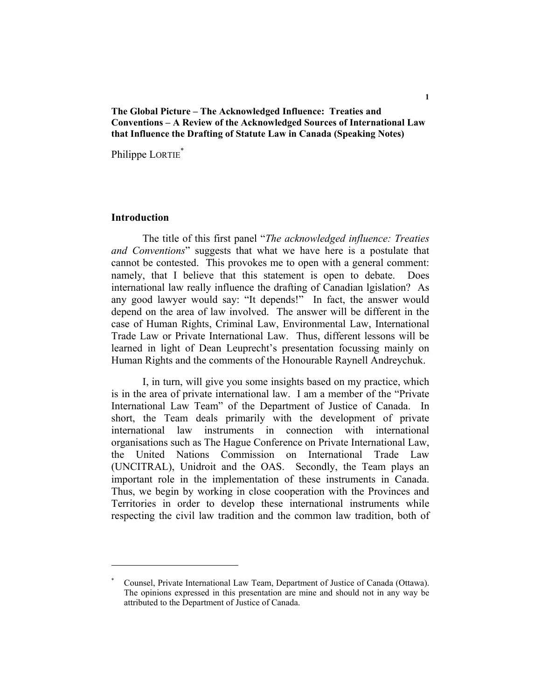## **The Global Picture – The Acknowledged Influence: Treaties and Conventions – A Review of the Acknowledged Sources of International Law that Influence the Drafting of Statute Law in Canada (Speaking Notes)**

Philippe LORTIE<sup>\*</sup>

#### **Introduction**

 The title of this first panel "*The acknowledged influence: Treaties and Conventions*" suggests that what we have here is a postulate that cannot be contested. This provokes me to open with a general comment: namely, that I believe that this statement is open to debate. Does international law really influence the drafting of Canadian lgislation? As any good lawyer would say: "It depends!" In fact, the answer would depend on the area of law involved. The answer will be different in the case of Human Rights, Criminal Law, Environmental Law, International Trade Law or Private International Law. Thus, different lessons will be learned in light of Dean Leuprecht's presentation focussing mainly on Human Rights and the comments of the Honourable Raynell Andreychuk.

 I, in turn, will give you some insights based on my practice, which is in the area of private international law. I am a member of the "Private International Law Team" of the Department of Justice of Canada. In short, the Team deals primarily with the development of private international law instruments in connection with international organisations such as The Hague Conference on Private International Law, the United Nations Commission on International Trade Law (UNCITRAL), Unidroit and the OAS. Secondly, the Team plays an important role in the implementation of these instruments in Canada. Thus, we begin by working in close cooperation with the Provinces and Territories in order to develop these international instruments while respecting the civil law tradition and the common law tradition, both of

<sup>\*</sup> Counsel, Private International Law Team, Department of Justice of Canada (Ottawa). The opinions expressed in this presentation are mine and should not in any way be attributed to the Department of Justice of Canada.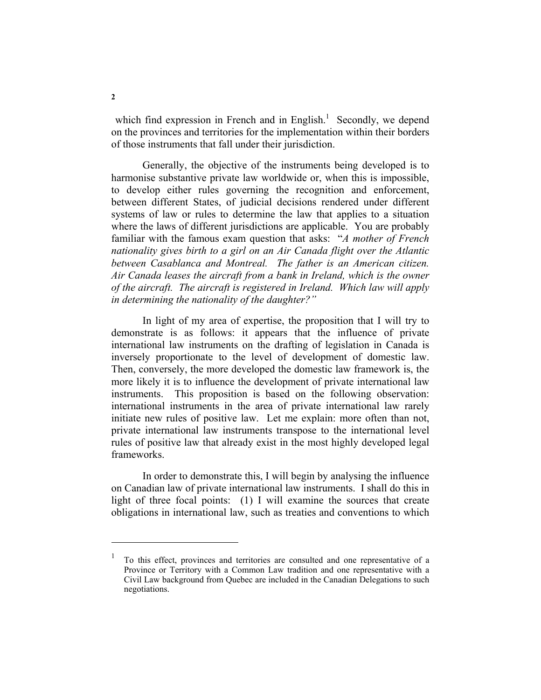which find expression in French and in English.<sup>1</sup> Secondly, we depend on the provinces and territories for the implementation within their borders of those instruments that fall under their jurisdiction.

 Generally, the objective of the instruments being developed is to harmonise substantive private law worldwide or, when this is impossible, to develop either rules governing the recognition and enforcement, between different States, of judicial decisions rendered under different systems of law or rules to determine the law that applies to a situation where the laws of different jurisdictions are applicable. You are probably familiar with the famous exam question that asks: "*A mother of French nationality gives birth to a girl on an Air Canada flight over the Atlantic between Casablanca and Montreal. The father is an American citizen. Air Canada leases the aircraft from a bank in Ireland, which is the owner of the aircraft. The aircraft is registered in Ireland. Which law will apply in determining the nationality of the daughter?"*

 In light of my area of expertise, the proposition that I will try to demonstrate is as follows: it appears that the influence of private international law instruments on the drafting of legislation in Canada is inversely proportionate to the level of development of domestic law. Then, conversely, the more developed the domestic law framework is, the more likely it is to influence the development of private international law instruments. This proposition is based on the following observation: international instruments in the area of private international law rarely initiate new rules of positive law. Let me explain: more often than not, private international law instruments transpose to the international level rules of positive law that already exist in the most highly developed legal frameworks.

 In order to demonstrate this, I will begin by analysing the influence on Canadian law of private international law instruments. I shall do this in light of three focal points: (1) I will examine the sources that create obligations in international law, such as treaties and conventions to which

<sup>1</sup> To this effect, provinces and territories are consulted and one representative of a Province or Territory with a Common Law tradition and one representative with a Civil Law background from Quebec are included in the Canadian Delegations to such negotiations.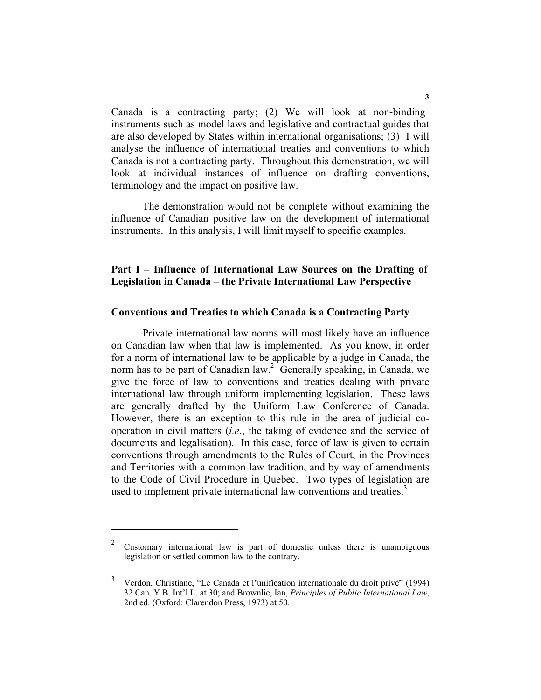Canada is a contracting party; (2) We will look at non-binding instruments such as model laws and legislative and contractual guides that are also developed by States within international organisations; (3) I will analyse the influence of international treaties and conventions to which Canada is not a contracting party. Throughout this demonstration, we will look at individual instances of influence on drafting conventions, terminology and the impact on positive law.

 The demonstration would not be complete without examining the influence of Canadian positive law on the development of international instruments. In this analysis, I will limit myself to specific examples.

# **Part I – Influence of International Law Sources on the Drafting of Legislation in Canada – the Private International Law Perspective**

### **Conventions and Treaties to which Canada is a Contracting Party**

 Private international law norms will most likely have an influence on Canadian law when that law is implemented. As you know, in order for a norm of international law to be applicable by a judge in Canada, the norm has to be part of Canadian law.<sup>2</sup> Generally speaking, in Canada, we give the force of law to conventions and treaties dealing with private international law through uniform implementing legislation. These laws are generally drafted by the Uniform Law Conference of Canada. However, there is an exception to this rule in the area of judicial cooperation in civil matters (*i.e*., the taking of evidence and the service of documents and legalisation). In this case, force of law is given to certain conventions through amendments to the Rules of Court, in the Provinces and Territories with a common law tradition, and by way of amendments to the Code of Civil Procedure in Quebec. Two types of legislation are used to implement private international law conventions and treaties.<sup>3</sup>

<sup>&</sup>lt;sup>2</sup> Customary international law is part of domestic unless there is unambiguous legislation or settled common law to the contrary.

<sup>&</sup>lt;sup>3</sup> Verdon, Christiane, "Le Canada et l'unification internationale du droit privé" (1994) 32 Can. Y.B. Int'l L. at 30; and Brownlie, Ian, *Principles of Public International Law*, 2nd ed. (Oxford: Clarendon Press, 1973) at 50.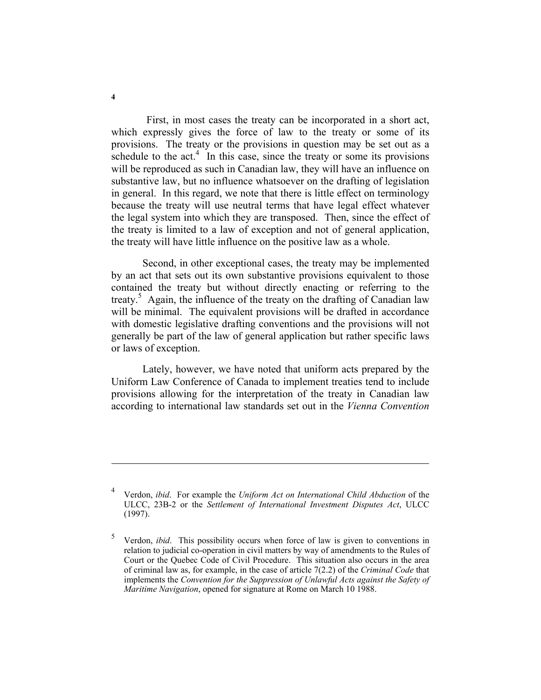First, in most cases the treaty can be incorporated in a short act, which expressly gives the force of law to the treaty or some of its provisions. The treaty or the provisions in question may be set out as a schedule to the  $act<sup>4</sup>$ . In this case, since the treaty or some its provisions will be reproduced as such in Canadian law, they will have an influence on substantive law, but no influence whatsoever on the drafting of legislation in general. In this regard, we note that there is little effect on terminology because the treaty will use neutral terms that have legal effect whatever the legal system into which they are transposed. Then, since the effect of the treaty is limited to a law of exception and not of general application, the treaty will have little influence on the positive law as a whole.

 Second, in other exceptional cases, the treaty may be implemented by an act that sets out its own substantive provisions equivalent to those contained the treaty but without directly enacting or referring to the treaty.<sup>5</sup> Again, the influence of the treaty on the drafting of Canadian law will be minimal. The equivalent provisions will be drafted in accordance with domestic legislative drafting conventions and the provisions will not generally be part of the law of general application but rather specific laws or laws of exception.

 Lately, however, we have noted that uniform acts prepared by the Uniform Law Conference of Canada to implement treaties tend to include provisions allowing for the interpretation of the treaty in Canadian law according to international law standards set out in the *Vienna Convention* 

<sup>4</sup> Verdon, *ibid*. For example the *Uniform Act on International Child Abduction* of the ULCC, 23B-2 or the *Settlement of International Investment Disputes Act*, ULCC (1997).

<sup>5</sup> Verdon, *ibid*. This possibility occurs when force of law is given to conventions in relation to judicial co-operation in civil matters by way of amendments to the Rules of Court or the Quebec Code of Civil Procedure. This situation also occurs in the area of criminal law as, for example, in the case of article 7(2.2) of the *Criminal Code* that implements the *Convention for the Suppression of Unlawful Acts against the Safety of Maritime Navigation*, opened for signature at Rome on March 10 1988.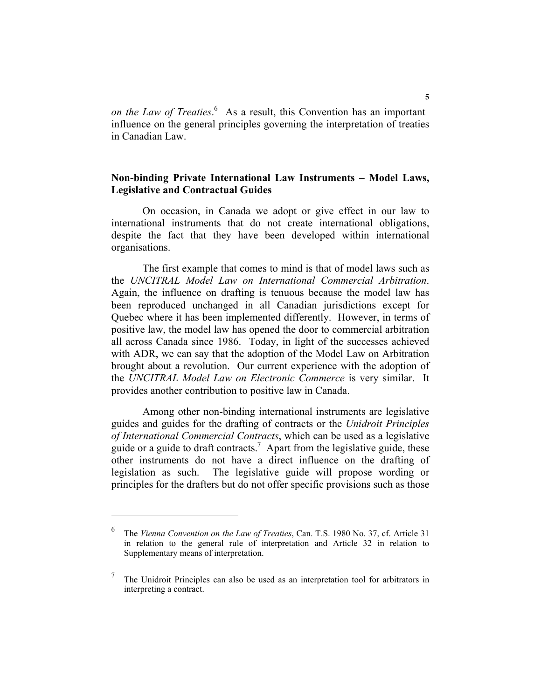*on the Law of Treaties*.<sup>6</sup> As a result, this Convention has an important influence on the general principles governing the interpretation of treaties in Canadian Law.

# **Non-binding Private International Law Instruments – Model Laws, Legislative and Contractual Guides**

 On occasion, in Canada we adopt or give effect in our law to international instruments that do not create international obligations, despite the fact that they have been developed within international organisations.

 The first example that comes to mind is that of model laws such as the *UNCITRAL Model Law on International Commercial Arbitration*. Again, the influence on drafting is tenuous because the model law has been reproduced unchanged in all Canadian jurisdictions except for Quebec where it has been implemented differently. However, in terms of positive law, the model law has opened the door to commercial arbitration all across Canada since 1986. Today, in light of the successes achieved with ADR, we can say that the adoption of the Model Law on Arbitration brought about a revolution. Our current experience with the adoption of the *UNCITRAL Model Law on Electronic Commerce* is very similar. It provides another contribution to positive law in Canada.

 Among other non-binding international instruments are legislative guides and guides for the drafting of contracts or the *Unidroit Principles of International Commercial Contracts*, which can be used as a legislative guide or a guide to draft contracts.<sup>7</sup> Apart from the legislative guide, these other instruments do not have a direct influence on the drafting of legislation as such. The legislative guide will propose wording or principles for the drafters but do not offer specific provisions such as those

<sup>6</sup> The *Vienna Convention on the Law of Treaties*, Can. T.S. 1980 No. 37, cf. Article 31 in relation to the general rule of interpretation and Article 32 in relation to Supplementary means of interpretation.

<sup>7</sup> The Unidroit Principles can also be used as an interpretation tool for arbitrators in interpreting a contract.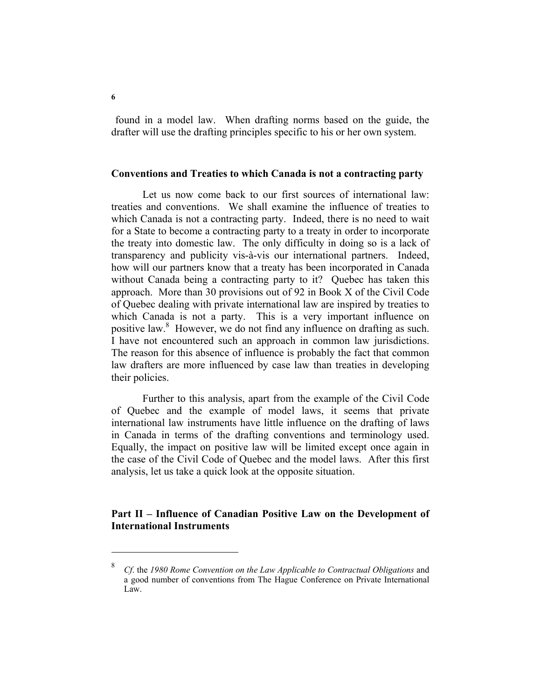found in a model law. When drafting norms based on the guide, the drafter will use the drafting principles specific to his or her own system.

### **Conventions and Treaties to which Canada is not a contracting party**

 Let us now come back to our first sources of international law: treaties and conventions. We shall examine the influence of treaties to which Canada is not a contracting party. Indeed, there is no need to wait for a State to become a contracting party to a treaty in order to incorporate the treaty into domestic law. The only difficulty in doing so is a lack of transparency and publicity vis-à-vis our international partners. Indeed, how will our partners know that a treaty has been incorporated in Canada without Canada being a contracting party to it? Quebec has taken this approach. More than 30 provisions out of 92 in Book X of the Civil Code of Quebec dealing with private international law are inspired by treaties to which Canada is not a party. This is a very important influence on positive law.<sup>8</sup> However, we do not find any influence on drafting as such. I have not encountered such an approach in common law jurisdictions. The reason for this absence of influence is probably the fact that common law drafters are more influenced by case law than treaties in developing their policies.

Further to this analysis, apart from the example of the Civil Code of Quebec and the example of model laws, it seems that private international law instruments have little influence on the drafting of laws in Canada in terms of the drafting conventions and terminology used. Equally, the impact on positive law will be limited except once again in the case of the Civil Code of Quebec and the model laws. After this first analysis, let us take a quick look at the opposite situation.

## **Part II – Influence of Canadian Positive Law on the Development of International Instruments**

<sup>8</sup> *Cf*. the *1980 Rome Convention on the Law Applicable to Contractual Obligations* and a good number of conventions from The Hague Conference on Private International Law.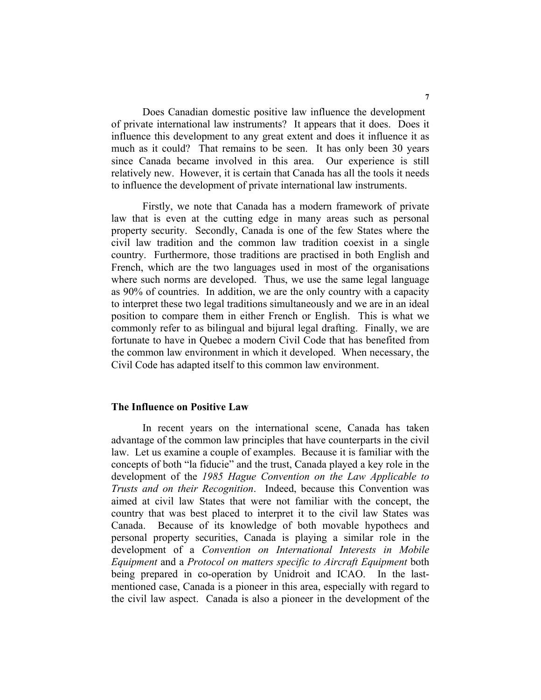Does Canadian domestic positive law influence the development of private international law instruments? It appears that it does. Does it influence this development to any great extent and does it influence it as much as it could? That remains to be seen. It has only been 30 years since Canada became involved in this area. Our experience is still relatively new. However, it is certain that Canada has all the tools it needs to influence the development of private international law instruments.

 Firstly, we note that Canada has a modern framework of private law that is even at the cutting edge in many areas such as personal property security. Secondly, Canada is one of the few States where the civil law tradition and the common law tradition coexist in a single country. Furthermore, those traditions are practised in both English and French, which are the two languages used in most of the organisations where such norms are developed. Thus, we use the same legal language as 90% of countries. In addition, we are the only country with a capacity to interpret these two legal traditions simultaneously and we are in an ideal position to compare them in either French or English. This is what we commonly refer to as bilingual and bijural legal drafting. Finally, we are fortunate to have in Quebec a modern Civil Code that has benefited from the common law environment in which it developed. When necessary, the Civil Code has adapted itself to this common law environment.

#### **The Influence on Positive Law**

 In recent years on the international scene, Canada has taken advantage of the common law principles that have counterparts in the civil law. Let us examine a couple of examples. Because it is familiar with the concepts of both "la fiducie" and the trust, Canada played a key role in the development of the *1985 Hague Convention on the Law Applicable to Trusts and on their Recognition*. Indeed, because this Convention was aimed at civil law States that were not familiar with the concept, the country that was best placed to interpret it to the civil law States was Canada. Because of its knowledge of both movable hypothecs and personal property securities, Canada is playing a similar role in the development of a *Convention on International Interests in Mobile Equipment* and a *Protocol on matters specific to Aircraft Equipment* both being prepared in co-operation by Unidroit and ICAO. In the lastmentioned case, Canada is a pioneer in this area, especially with regard to the civil law aspect. Canada is also a pioneer in the development of the